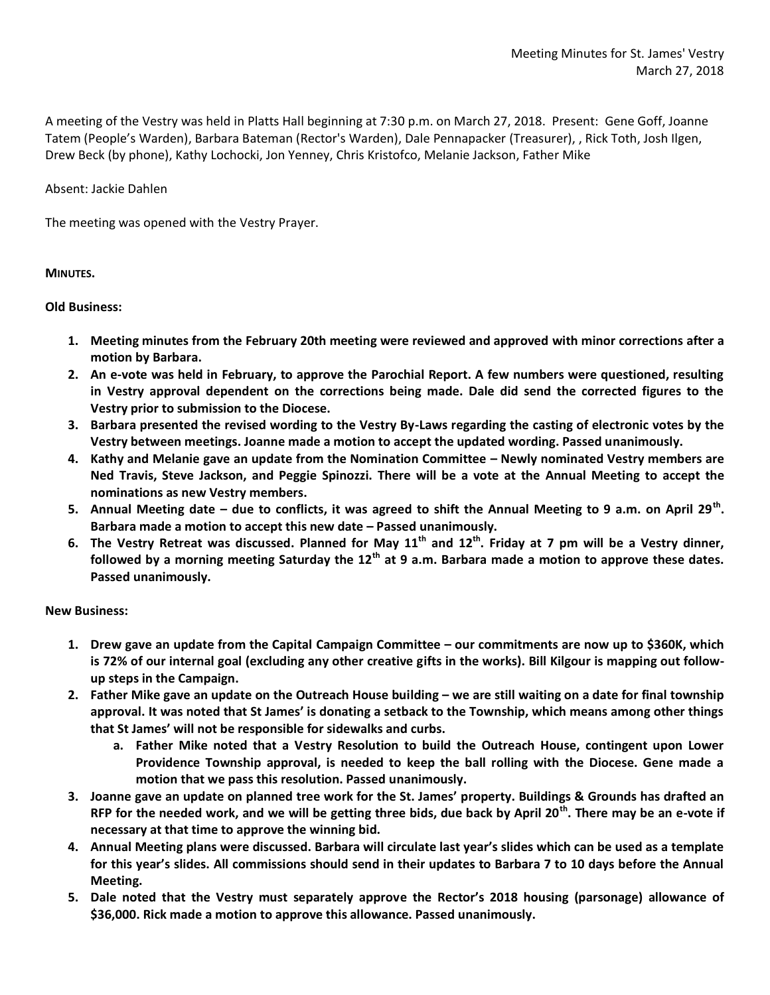A meeting of the Vestry was held in Platts Hall beginning at 7:30 p.m. on March 27, 2018. Present: Gene Goff, Joanne Tatem (People's Warden), Barbara Bateman (Rector's Warden), Dale Pennapacker (Treasurer), , Rick Toth, Josh Ilgen, Drew Beck (by phone), Kathy Lochocki, Jon Yenney, Chris Kristofco, Melanie Jackson, Father Mike

Absent: Jackie Dahlen

The meeting was opened with the Vestry Prayer.

## **MINUTES.**

## **Old Business:**

- **1. Meeting minutes from the February 20th meeting were reviewed and approved with minor corrections after a motion by Barbara.**
- **2. An e-vote was held in February, to approve the Parochial Report. A few numbers were questioned, resulting in Vestry approval dependent on the corrections being made. Dale did send the corrected figures to the Vestry prior to submission to the Diocese.**
- **3. Barbara presented the revised wording to the Vestry By-Laws regarding the casting of electronic votes by the Vestry between meetings. Joanne made a motion to accept the updated wording. Passed unanimously.**
- **4. Kathy and Melanie gave an update from the Nomination Committee – Newly nominated Vestry members are Ned Travis, Steve Jackson, and Peggie Spinozzi. There will be a vote at the Annual Meeting to accept the nominations as new Vestry members.**
- **5. Annual Meeting date – due to conflicts, it was agreed to shift the Annual Meeting to 9 a.m. on April 29th . Barbara made a motion to accept this new date – Passed unanimously.**
- **6. The Vestry Retreat was discussed. Planned for May 11th and 12th. Friday at 7 pm will be a Vestry dinner, followed by a morning meeting Saturday the 12th at 9 a.m. Barbara made a motion to approve these dates. Passed unanimously.**

**New Business:**

- **1. Drew gave an update from the Capital Campaign Committee – our commitments are now up to \$360K, which is 72% of our internal goal (excluding any other creative gifts in the works). Bill Kilgour is mapping out followup steps in the Campaign.**
- **2. Father Mike gave an update on the Outreach House building – we are still waiting on a date for final township approval. It was noted that St James' is donating a setback to the Township, which means among other things that St James' will not be responsible for sidewalks and curbs.**
	- **a. Father Mike noted that a Vestry Resolution to build the Outreach House, contingent upon Lower Providence Township approval, is needed to keep the ball rolling with the Diocese. Gene made a motion that we pass this resolution. Passed unanimously.**
- **3. Joanne gave an update on planned tree work for the St. James' property. Buildings & Grounds has drafted an RFP for the needed work, and we will be getting three bids, due back by April 20th. There may be an e-vote if necessary at that time to approve the winning bid.**
- **4. Annual Meeting plans were discussed. Barbara will circulate last year's slides which can be used as a template for this year's slides. All commissions should send in their updates to Barbara 7 to 10 days before the Annual Meeting.**
- **5. Dale noted that the Vestry must separately approve the Rector's 2018 housing (parsonage) allowance of \$36,000. Rick made a motion to approve this allowance. Passed unanimously.**